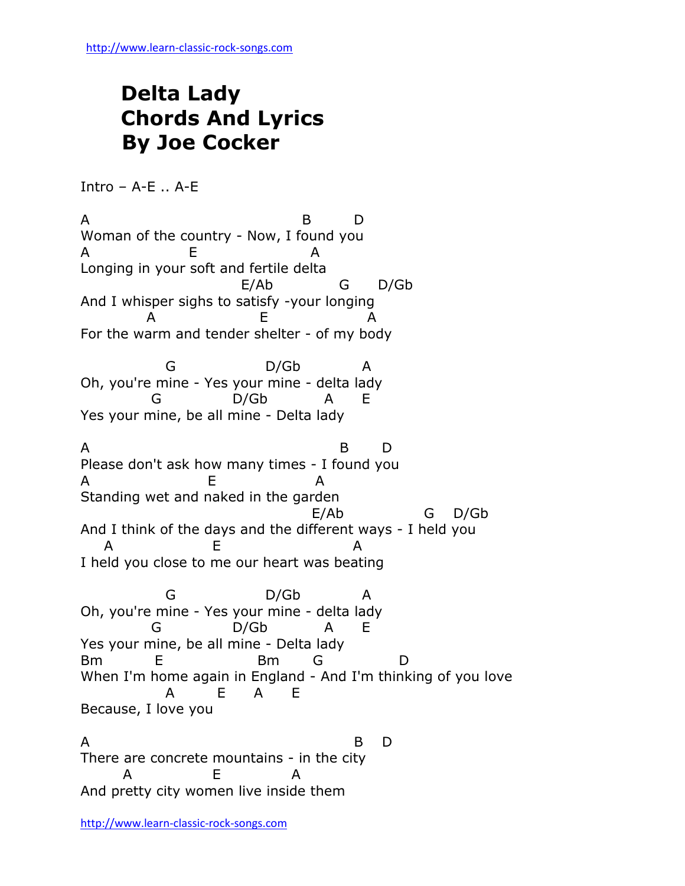## **Delta Lady Chords And Lyrics By Joe Cocker**

Intro  $-$  A-E  $\ldots$  A-E

A B D Woman of the country - Now, I found you A E A Longing in your soft and fertile delta E/Ab G D/Gb And I whisper sighs to satisfy -your longing A E A For the warm and tender shelter - of my body G D/Gb A Oh, you're mine - Yes your mine - delta lady G D/Gb A E Yes your mine, be all mine - Delta lady A B D Please don't ask how many times - I found you A E A Standing wet and naked in the garden E/Ab G D/Gb And I think of the days and the different ways - I held you A E A I held you close to me our heart was beating G D/Gb A Oh, you're mine - Yes your mine - delta lady G D/Gb A E Yes your mine, be all mine - Delta lady Bm E Bm G D When I'm home again in England - And I'm thinking of you love A E A E Because, I love you A B D There are concrete mountains - in the city A E A And pretty city women live inside them